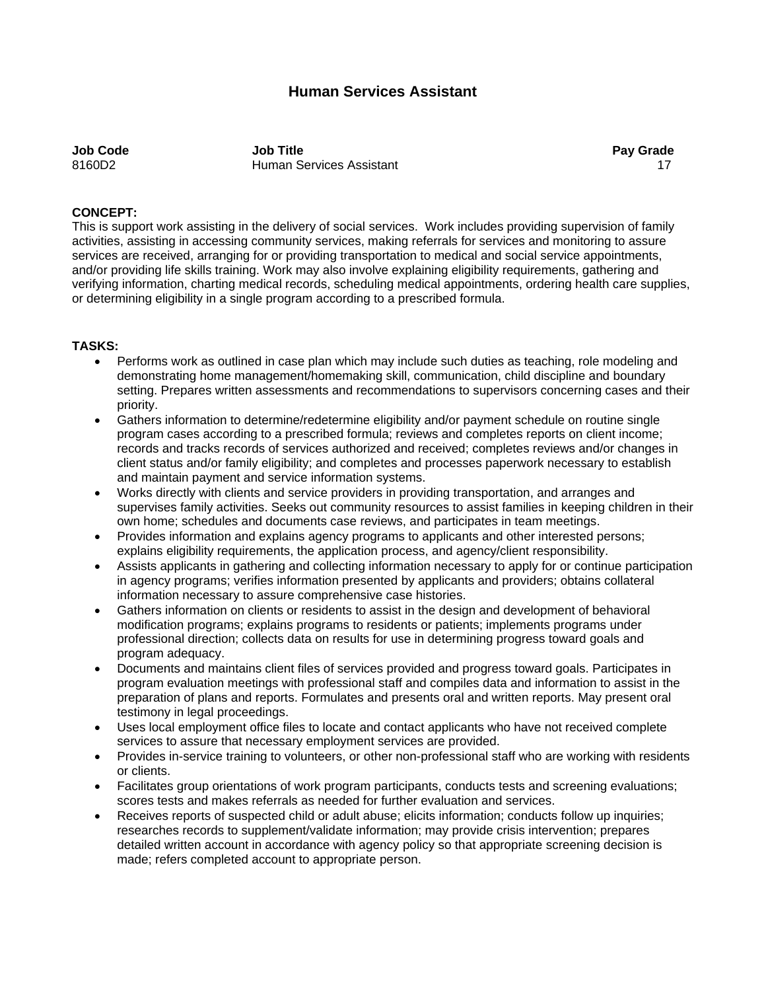# **Human Services Assistant**

**Job Code Job Title Pay Grade**  8160D2 **Human Services Assistant** 17 and 17 and 17 and 17 and 17 and 17 and 17 and 17 and 17 and 17 and 17 and 17

#### **CONCEPT:**

This is support work assisting in the delivery of social services. Work includes providing supervision of family activities, assisting in accessing community services, making referrals for services and monitoring to assure services are received, arranging for or providing transportation to medical and social service appointments, and/or providing life skills training. Work may also involve explaining eligibility requirements, gathering and verifying information, charting medical records, scheduling medical appointments, ordering health care supplies, or determining eligibility in a single program according to a prescribed formula.

#### **TASKS:**

- Performs work as outlined in case plan which may include such duties as teaching, role modeling and demonstrating home management/homemaking skill, communication, child discipline and boundary setting. Prepares written assessments and recommendations to supervisors concerning cases and their priority.
- Gathers information to determine/redetermine eligibility and/or payment schedule on routine single program cases according to a prescribed formula; reviews and completes reports on client income; records and tracks records of services authorized and received; completes reviews and/or changes in client status and/or family eligibility; and completes and processes paperwork necessary to establish and maintain payment and service information systems.
- Works directly with clients and service providers in providing transportation, and arranges and supervises family activities. Seeks out community resources to assist families in keeping children in their own home; schedules and documents case reviews, and participates in team meetings.
- Provides information and explains agency programs to applicants and other interested persons; explains eligibility requirements, the application process, and agency/client responsibility.
- Assists applicants in gathering and collecting information necessary to apply for or continue participation in agency programs; verifies information presented by applicants and providers; obtains collateral information necessary to assure comprehensive case histories.
- Gathers information on clients or residents to assist in the design and development of behavioral modification programs; explains programs to residents or patients; implements programs under professional direction; collects data on results for use in determining progress toward goals and program adequacy.
- Documents and maintains client files of services provided and progress toward goals. Participates in program evaluation meetings with professional staff and compiles data and information to assist in the preparation of plans and reports. Formulates and presents oral and written reports. May present oral testimony in legal proceedings.
- Uses local employment office files to locate and contact applicants who have not received complete services to assure that necessary employment services are provided.
- Provides in-service training to volunteers, or other non-professional staff who are working with residents or clients.
- Facilitates group orientations of work program participants, conducts tests and screening evaluations; scores tests and makes referrals as needed for further evaluation and services.
- Receives reports of suspected child or adult abuse; elicits information; conducts follow up inquiries; researches records to supplement/validate information; may provide crisis intervention; prepares detailed written account in accordance with agency policy so that appropriate screening decision is made; refers completed account to appropriate person.